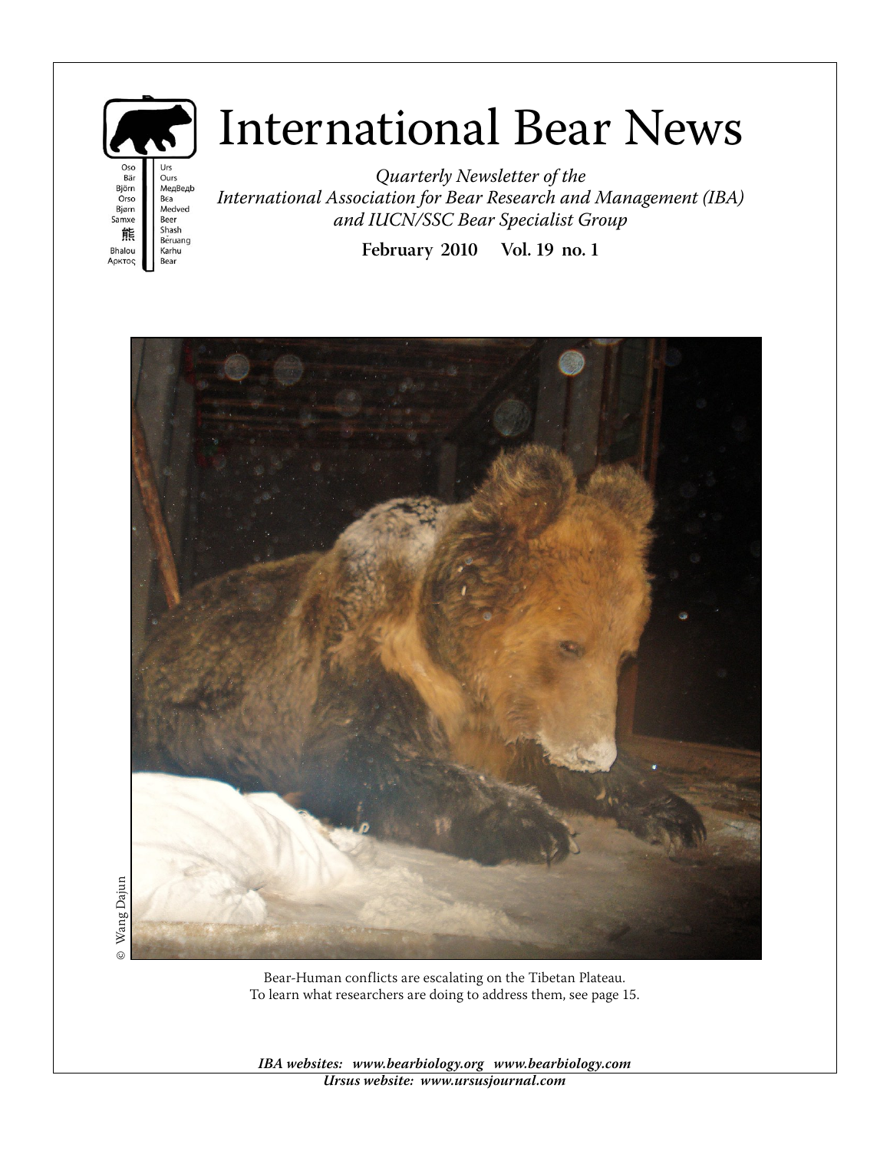

# International Bear News

Oso Urs Bär Ours Björn Медведь Orso Bea Medved Bjørn<br>Samxe Beer Shash 熊 Beruang Bhalou Karhu Αρκτος **Bear** 

Quarterly Newsletter of the International Association for Bear Research and Management (IBA) and IUCN/SSC Bear Specialist Group

**February 2010 Vol. 19 no. 1**



**IBA websites: www.bearbiology.org www.bearbiology.com Ursus website: www.ursusjournal.com**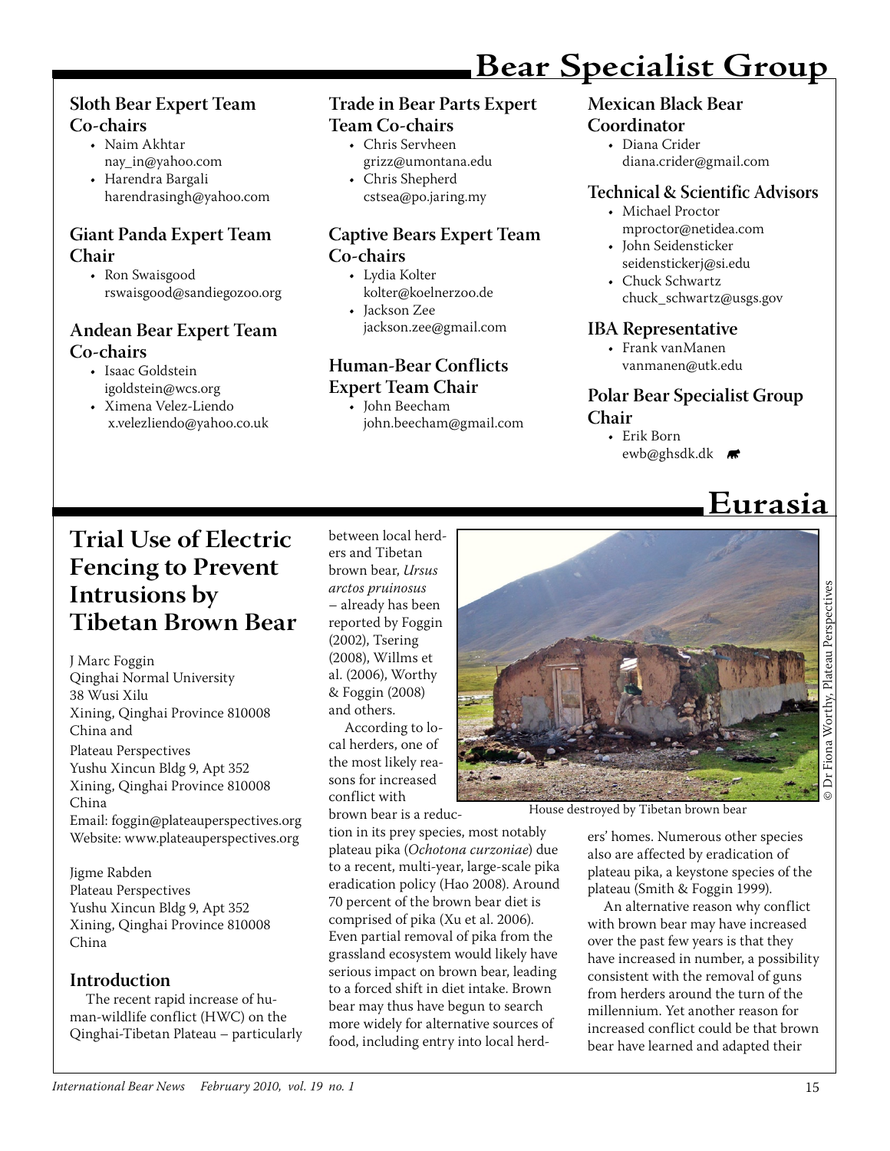### **Sloth Bear Expert Team Co-chairs**

- Naim Akhtar nay\_in@yahoo.com
- Harendra Bargali harendrasingh@yahoo.com

### **Giant Panda Expert Team Chair**

• Ron Swaisgood rswaisgood@sandiegozoo.org

### **Andean Bear Expert Team Co-chairs**

- Isaac Goldstein igoldstein@wcs.org
- Ximena Velez-Liendo x.velezliendo@yahoo.co.uk

### **Trade in Bear Parts Expert Team Co-chairs**

- Chris Servheen grizz@umontana.edu
- Chris Shepherd
	- cstsea@po.jaring.my

### **Captive Bears Expert Team Co-chairs**

- Lydia Kolter kolter@koelnerzoo.de
- Jackson Zee jackson.zee@gmail.com

### **Human-Bear Conflicts Expert Team Chair**

John Beecham • john.beecham@gmail.com

### **Mexican Black Bear**

**Bear Specialist Group**

### **Coordinator**

Diana Crider • diana.crider@gmail.com

### **Technical & Scientific Advisors**

- Michael Proctor mproctor@netidea.com
- John Seidensticker seidenstickerj@si.edu •
- Chuck Schwartz chuck schwartz@usgs.gov

### **IBA Representative**

• Frank vanManen vanmanen@utk.edu

### **Polar Bear Specialist Group Chair**

 **Eurasia**

• Erik Born ewb@ghsdk.dk **\*\*** 

### **Trial Use of Electric Fencing to Prevent Intrusions by Tibetan Brown Bear**

J Marc Foggin Qinghai Normal University 38 Wusi Xilu Xining, Qinghai Province 810008 China and Plateau Perspectives Yushu Xincun Bldg 9, Apt 352 Xining, Qinghai Province 810008 China Email: foggin@plateauperspectives.org Website: www.plateauperspectives.org

Jigme Rabden Plateau Perspectives Yushu Xincun Bldg 9, Apt 352 Xining, Qinghai Province 810008 China

### **Introduction**

The recent rapid increase of human-wildlife conflict (HWC) on the Qinghai-Tibetan Plateau – particularly between local herders and Tibetan brown bear, Ursus arctos pruinosus – already has been reported by Foggin (2002), Tsering (2008), Willms et al. (2006), Worthy & Foggin (2008) and others.

According to local herders, one of the most likely reasons for increased conflict with

brown bear is a reduc-

tion in its prey species, most notably plateau pika (Ochotona curzoniae) due to a recent, multi-year, large-scale pika eradication policy (Hao 2008). Around 70 percent of the brown bear diet is comprised of pika (Xu et al. 2006). Even partial removal of pika from the grassland ecosystem would likely have serious impact on brown bear, leading to a forced shift in diet intake. Brown bear may thus have begun to search more widely for alternative sources of food, including entry into local herd-



House destroyed by Tibetan brown bear

ers' homes. Numerous other species also are affected by eradication of plateau pika, a keystone species of the plateau (Smith & Foggin 1999).

An alternative reason why conflict with brown bear may have increased over the past few years is that they have increased in number, a possibility consistent with the removal of guns from herders around the turn of the millennium. Yet another reason for increased conflict could be that brown bear have learned and adapted their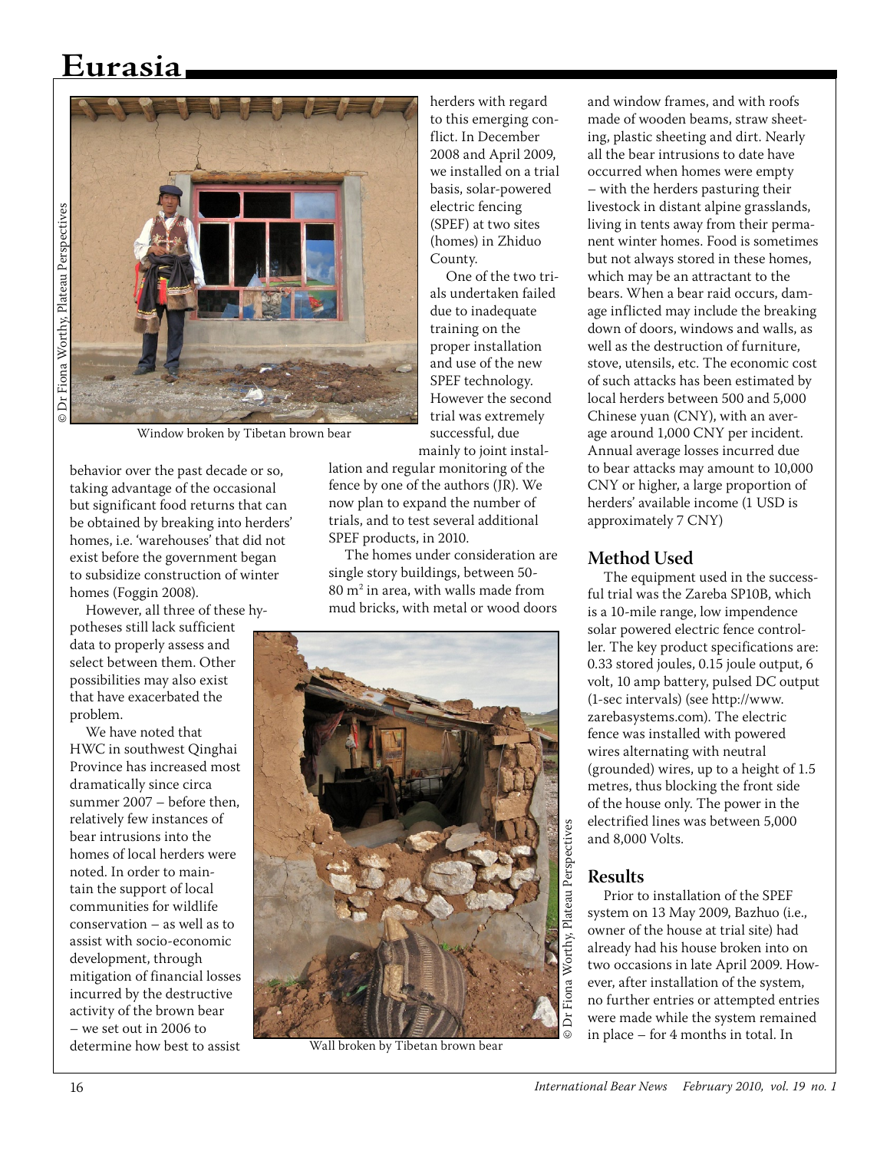## **Eurasia**



Window broken by Tibetan brown bear

behavior over the past decade or so, taking advantage of the occasional but significant food returns that can be obtained by breaking into herders' homes, i.e. 'warehouses' that did not exist before the government began to subsidize construction of winter homes (Foggin 2008).

However, all three of these hy-

potheses still lack sufficient data to properly assess and select between them. Other possibilities may also exist that have exacerbated the problem.

We have noted that HWC in southwest Qinghai Province has increased most dramatically since circa summer 2007 – before then, relatively few instances of bear intrusions into the homes of local herders were noted. In order to maintain the support of local communities for wildlife conservation – as well as to assist with socio-economic development, through mitigation of financial losses incurred by the destructive activity of the brown bear – we set out in 2006 to determine how best to assist herders with regard to this emerging conflict. In December 2008 and April 2009, we installed on a trial basis, solar-powered electric fencing (SPEF) at two sites (homes) in Zhiduo County.

One of the two trials undertaken failed due to inadequate training on the proper installation and use of the new SPEF technology. However the second trial was extremely successful, due mainly to joint instal-

lation and regular monitoring of the fence by one of the authors (JR). We now plan to expand the number of trials, and to test several additional SPEF products, in 2010.

The homes under consideration are single story buildings, between 50-  $80 \mathrm{m}^2$  in area, with walls made from mud bricks, with metal or wood doors



and window frames, and with roofs made of wooden beams, straw sheeting, plastic sheeting and dirt. Nearly all the bear intrusions to date have occurred when homes were empty – with the herders pasturing their livestock in distant alpine grasslands, living in tents away from their permanent winter homes. Food is sometimes but not always stored in these homes, which may be an attractant to the bears. When a bear raid occurs, damage inflicted may include the breaking down of doors, windows and walls, as well as the destruction of furniture, stove, utensils, etc. The economic cost of such attacks has been estimated by local herders between 500 and 5,000 Chinese yuan (CNY), with an average around 1,000 CNY per incident. Annual average losses incurred due to bear attacks may amount to 10,000 CNY or higher, a large proportion of herders' available income (1 USD is approximately 7 CNY)

#### **Method Used**

The equipment used in the successful trial was the Zareba SP10B, which is a 10-mile range, low impendence solar powered electric fence controller. The key product specifications are: 0.33 stored joules, 0.15 joule output, 6 volt, 10 amp battery, pulsed DC output (1-sec intervals) (see http://www. zarebasystems.com). The electric fence was installed with powered wires alternating with neutral (grounded) wires, up to a height of 1.5 metres, thus blocking the front side of the house only. The power in the electrified lines was between 5,000 and 8,000 Volts.

### **Results**

Prior to installation of the SPEF system on 13 May 2009, Bazhuo (i.e., owner of the house at trial site) had already had his house broken into on two occasions in late April 2009. However, after installation of the system, no further entries or attempted entries were made while the system remained **in place – for 4 months in total. In** Wall broken by Tibetan brown bear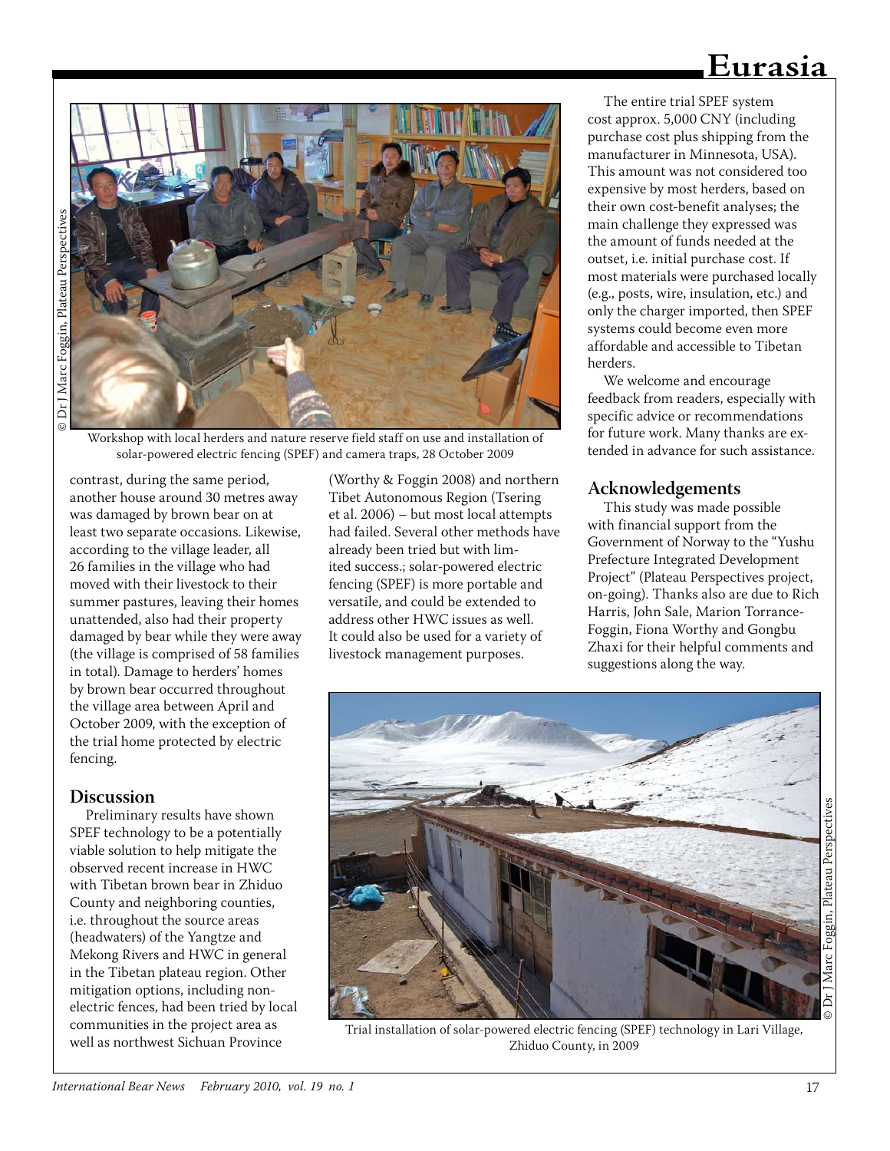### **Eurasia**



Workshop with local herders and nature reserve field staff on use and installation of solar-powered electric fencing (SPEF) and camera traps, 28 October 2009

contrast, during the same period, another house around 30 metres away was damaged by brown bear on at least two separate occasions. Likewise, according to the village leader, all 26 families in the village who had moved with their livestock to their summer pastures, leaving their homes unattended, also had their property damaged by bear while they were away (the village is comprised of 58 families in total). Damage to herders' homes by brown bear occurred throughout the village area between April and October 2009, with the exception of the trial home protected by electric fencing.

#### **Discussion**

Preliminary results have shown SPEF technology to be a potentially viable solution to help mitigate the observed recent increase in HWC with Tibetan brown bear in Zhiduo County and neighboring counties, i.e. throughout the source areas (headwaters) of the Yangtze and Mekong Rivers and HWC in general in the Tibetan plateau region. Other mitigation options, including nonelectric fences, had been tried by local communities in the project area as well as northwest Sichuan Province

(Worthy & Foggin 2008) and northern Tibet Autonomous Region (Tsering et al. 2006) – but most local attempts had failed. Several other methods have already been tried but with limited success.; solar-powered electric fencing (SPEF) is more portable and versatile, and could be extended to address other HWC issues as well. It could also be used for a variety of livestock management purposes.

The entire trial SPEF system cost approx. 5,000 CNY (including purchase cost plus shipping from the manufacturer in Minnesota, USA). This amount was not considered too expensive by most herders, based on their own cost-benefit analyses; the main challenge they expressed was the amount of funds needed at the outset, i.e. initial purchase cost. If most materials were purchased locally (e.g., posts, wire, insulation, etc.) and only the charger imported, then SPEF systems could become even more affordable and accessible to Tibetan herders.

We welcome and encourage feedback from readers, especially with specific advice or recommendations for future work. Many thanks are extended in advance for such assistance.

#### **Acknowledgements**

This study was made possible with financial support from the Government of Norway to the "Yushu Prefecture Integrated Development Project" (Plateau Perspectives project, on-going). Thanks also are due to Rich Harris, John Sale, Marion Torrance-Foggin, Fiona Worthy and Gongbu Zhaxi for their helpful comments and suggestions along the way.



Trial installation of solar-powered electric fencing (SPEF) technology in Lari Village, Zhiduo County, in 2009